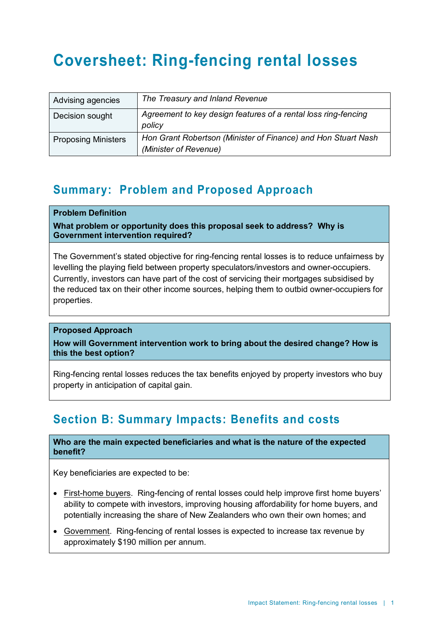# **Coversheet: Ring-fencing rental losses**

| Advising agencies          | The Treasury and Inland Revenue                                                        |
|----------------------------|----------------------------------------------------------------------------------------|
| Decision sought            | Agreement to key design features of a rental loss ring-fencing<br>policy               |
| <b>Proposing Ministers</b> | Hon Grant Robertson (Minister of Finance) and Hon Stuart Nash<br>(Minister of Revenue) |

### **Summary: Problem and Proposed Approach**

### **Problem Definition**

**What problem or opportunity does this proposal seek to address? Why is Government intervention required?**

The Government's stated objective for ring-fencing rental losses is to reduce unfairness by levelling the playing field between property speculators/investors and owner-occupiers. Currently, investors can have part of the cost of servicing their mortgages subsidised by the reduced tax on their other income sources, helping them to outbid owner-occupiers for properties.

### **Proposed Approach**

**How will Government intervention work to bring about the desired change? How is this the best option?**

Ring-fencing rental losses reduces the tax benefits enjoyed by property investors who buy property in anticipation of capital gain.

### **Section B: Summary Impacts: Benefits and costs**

**Who are the main expected beneficiaries and what is the nature of the expected benefit?**

Key beneficiaries are expected to be:

- First-home buyers. Ring-fencing of rental losses could help improve first home buyers' ability to compete with investors, improving housing affordability for home buyers, and potentially increasing the share of New Zealanders who own their own homes; and
- Government. Ring-fencing of rental losses is expected to increase tax revenue by approximately \$190 million per annum.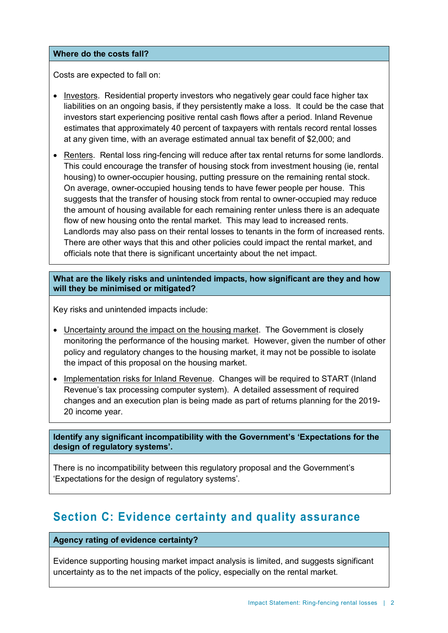#### **Where do the costs fall?**

Costs are expected to fall on:

- Investors. Residential property investors who negatively gear could face higher tax liabilities on an ongoing basis, if they persistently make a loss. It could be the case that investors start experiencing positive rental cash flows after a period. Inland Revenue estimates that approximately 40 percent of taxpayers with rentals record rental losses at any given time, with an average estimated annual tax benefit of \$2,000; and
- Renters. Rental loss ring-fencing will reduce after tax rental returns for some landlords. This could encourage the transfer of housing stock from investment housing (ie, rental housing) to owner-occupier housing, putting pressure on the remaining rental stock. On average, owner-occupied housing tends to have fewer people per house. This suggests that the transfer of housing stock from rental to owner-occupied may reduce the amount of housing available for each remaining renter unless there is an adequate flow of new housing onto the rental market. This may lead to increased rents. Landlords may also pass on their rental losses to tenants in the form of increased rents. There are other ways that this and other policies could impact the rental market, and officials note that there is significant uncertainty about the net impact.

**What are the likely risks and unintended impacts, how significant are they and how will they be minimised or mitigated?** 

Key risks and unintended impacts include:

- Uncertainty around the impact on the housing market. The Government is closely monitoring the performance of the housing market. However, given the number of other policy and regulatory changes to the housing market, it may not be possible to isolate the impact of this proposal on the housing market.
- Implementation risks for Inland Revenue. Changes will be required to START (Inland Revenue's tax processing computer system). A detailed assessment of required changes and an execution plan is being made as part of returns planning for the 2019- 20 income year.

**Identify any significant incompatibility with the Government's 'Expectations for the design of regulatory systems'.** 

There is no incompatibility between this regulatory proposal and the Government's 'Expectations for the design of regulatory systems'.

### **Section C: Evidence certainty and quality assurance**

### **Agency rating of evidence certainty?**

Evidence supporting housing market impact analysis is limited, and suggests significant uncertainty as to the net impacts of the policy, especially on the rental market.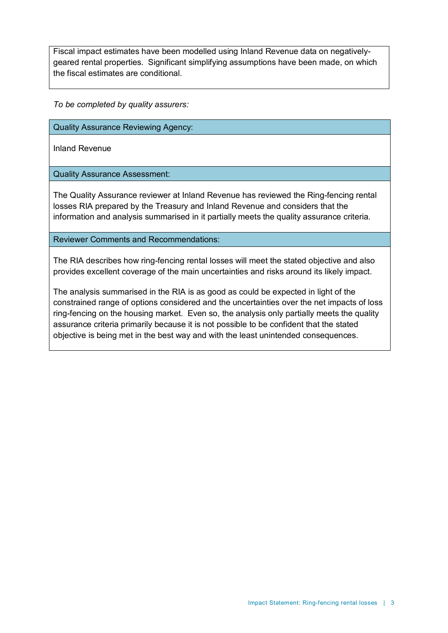Fiscal impact estimates have been modelled using Inland Revenue data on negativelygeared rental properties. Significant simplifying assumptions have been made, on which the fiscal estimates are conditional.

*To be completed by quality assurers:*

Quality Assurance Reviewing Agency:

Inland Revenue

Quality Assurance Assessment:

The Quality Assurance reviewer at Inland Revenue has reviewed the Ring-fencing rental losses RIA prepared by the Treasury and Inland Revenue and considers that the information and analysis summarised in it partially meets the quality assurance criteria.

Reviewer Comments and Recommendations:

The RIA describes how ring-fencing rental losses will meet the stated objective and also provides excellent coverage of the main uncertainties and risks around its likely impact.

The analysis summarised in the RIA is as good as could be expected in light of the constrained range of options considered and the uncertainties over the net impacts of loss ring-fencing on the housing market. Even so, the analysis only partially meets the quality assurance criteria primarily because it is not possible to be confident that the stated objective is being met in the best way and with the least unintended consequences.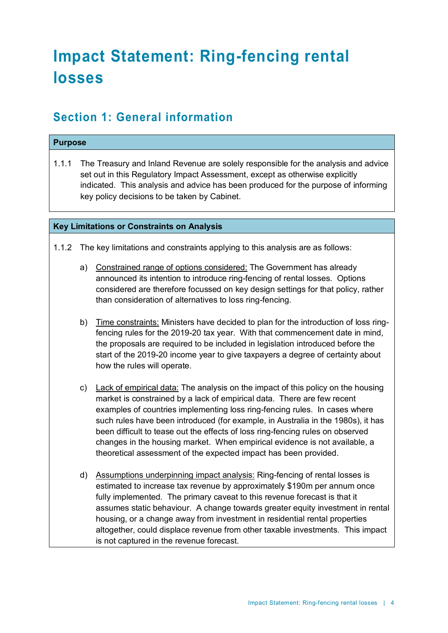# **Impact Statement: Ring-fencing rental losses**

### **Section 1: General information**

### **Purpose**

1.1.1 The Treasury and Inland Revenue are solely responsible for the analysis and advice set out in this Regulatory Impact Assessment, except as otherwise explicitly indicated. This analysis and advice has been produced for the purpose of informing key policy decisions to be taken by Cabinet.

### **Key Limitations or Constraints on Analysis**

- 1.1.2 The key limitations and constraints applying to this analysis are as follows:
	- a) Constrained range of options considered: The Government has already announced its intention to introduce ring-fencing of rental losses. Options considered are therefore focussed on key design settings for that policy, rather than consideration of alternatives to loss ring-fencing.
	- b) Time constraints: Ministers have decided to plan for the introduction of loss ringfencing rules for the 2019-20 tax year. With that commencement date in mind, the proposals are required to be included in legislation introduced before the start of the 2019-20 income year to give taxpayers a degree of certainty about how the rules will operate.
	- c) Lack of empirical data: The analysis on the impact of this policy on the housing market is constrained by a lack of empirical data. There are few recent examples of countries implementing loss ring-fencing rules. In cases where such rules have been introduced (for example, in Australia in the 1980s), it has been difficult to tease out the effects of loss ring-fencing rules on observed changes in the housing market. When empirical evidence is not available, a theoretical assessment of the expected impact has been provided.
	- d) Assumptions underpinning impact analysis: Ring-fencing of rental losses is estimated to increase tax revenue by approximately \$190m per annum once fully implemented. The primary caveat to this revenue forecast is that it assumes static behaviour. A change towards greater equity investment in rental housing, or a change away from investment in residential rental properties altogether, could displace revenue from other taxable investments. This impact is not captured in the revenue forecast.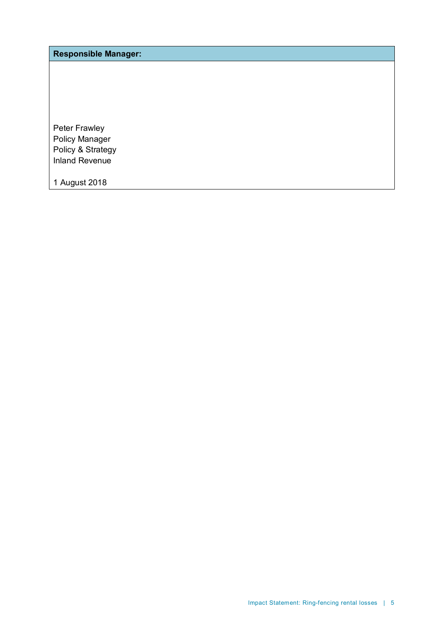**Responsible Manager:**

Peter Frawley Policy Manager Policy & Strategy Inland Revenue

1 August 2018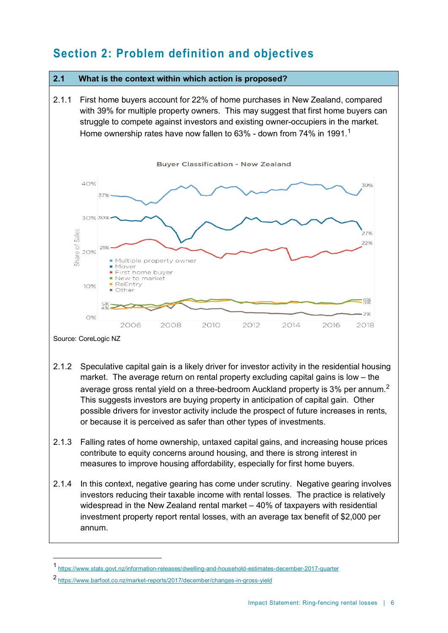## **Section 2: Problem definition and objectives**

### **2.1 What is the context within which action is proposed?**

2.1.1 First home buyers account for 22% of home purchases in New Zealand, compared with 39% for multiple property owners. This may suggest that first home buyers can struggle to compete against investors and existing owner-occupiers in the market. Home ownership rates have now fallen to 63% - down from 74% in [1](#page-5-0)991. $^{\rm 1}$ 



- 2.1.2 Speculative capital gain is a likely driver for investor activity in the residential housing market. The average return on rental property excluding capital gains is low – the average gross rental yield on a three-bedroom Auckland property is 3% per annum. $^{\rm 2}$  $^{\rm 2}$  $^{\rm 2}$ This suggests investors are buying property in anticipation of capital gain. Other possible drivers for investor activity include the prospect of future increases in rents, or because it is perceived as safer than other types of investments.
- 2.1.3 Falling rates of home ownership, untaxed capital gains, and increasing house prices contribute to equity concerns around housing, and there is strong interest in measures to improve housing affordability, especially for first home buyers.
- 2.1.4 In this context, negative gearing has come under scrutiny. Negative gearing involves investors reducing their taxable income with rental losses. The practice is relatively widespread in the New Zealand rental market – 40% of taxpayers with residential investment property report rental losses, with an average tax benefit of \$2,000 per annum.

<span id="page-5-0"></span> <sup>1</sup> <https://www.stats.govt.nz/information-releases/dwelling-and-household-estimates-december-2017-quarter>

<span id="page-5-1"></span><sup>2</sup> <https://www.barfoot.co.nz/market-reports/2017/december/changes-in-gross-yield>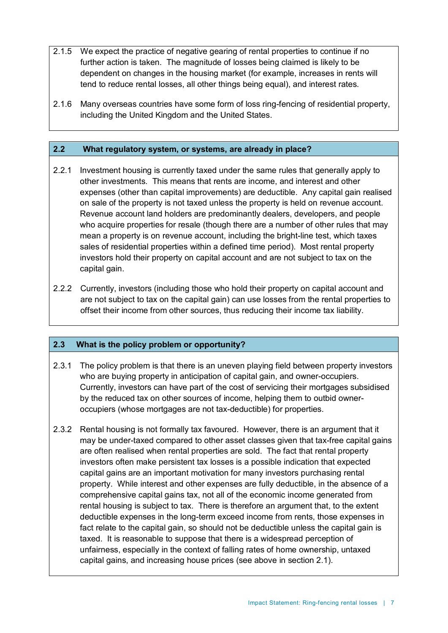- 2.1.5 We expect the practice of negative gearing of rental properties to continue if no further action is taken. The magnitude of losses being claimed is likely to be dependent on changes in the housing market (for example, increases in rents will tend to reduce rental losses, all other things being equal), and interest rates.
- 2.1.6 Many overseas countries have some form of loss ring-fencing of residential property, including the United Kingdom and the United States.

### **2.2 What regulatory system, or systems, are already in place?**

- 2.2.1 Investment housing is currently taxed under the same rules that generally apply to other investments. This means that rents are income, and interest and other expenses (other than capital improvements) are deductible. Any capital gain realised on sale of the property is not taxed unless the property is held on revenue account. Revenue account land holders are predominantly dealers, developers, and people who acquire properties for resale (though there are a number of other rules that may mean a property is on revenue account, including the bright-line test, which taxes sales of residential properties within a defined time period). Most rental property investors hold their property on capital account and are not subject to tax on the capital gain.
- 2.2.2 Currently, investors (including those who hold their property on capital account and are not subject to tax on the capital gain) can use losses from the rental properties to offset their income from other sources, thus reducing their income tax liability.

### **2.3 What is the policy problem or opportunity?**

- 2.3.1 The policy problem is that there is an uneven playing field between property investors who are buying property in anticipation of capital gain, and owner-occupiers. Currently, investors can have part of the cost of servicing their mortgages subsidised by the reduced tax on other sources of income, helping them to outbid owneroccupiers (whose mortgages are not tax-deductible) for properties.
- 2.3.2 Rental housing is not formally tax favoured. However, there is an argument that it may be under-taxed compared to other asset classes given that tax-free capital gains are often realised when rental properties are sold. The fact that rental property investors often make persistent tax losses is a possible indication that expected capital gains are an important motivation for many investors purchasing rental property. While interest and other expenses are fully deductible, in the absence of a comprehensive capital gains tax, not all of the economic income generated from rental housing is subject to tax. There is therefore an argument that, to the extent deductible expenses in the long-term exceed income from rents, those expenses in fact relate to the capital gain, so should not be deductible unless the capital gain is taxed. It is reasonable to suppose that there is a widespread perception of unfairness, especially in the context of falling rates of home ownership, untaxed capital gains, and increasing house prices (see above in section 2.1).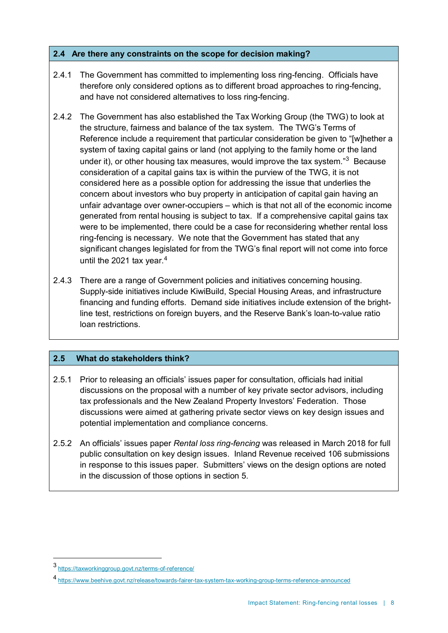### **2.4 Are there any constraints on the scope for decision making?**

- 2.4.1 The Government has committed to implementing loss ring-fencing. Officials have therefore only considered options as to different broad approaches to ring-fencing, and have not considered alternatives to loss ring-fencing.
- 2.4.2 The Government has also established the Tax Working Group (the TWG) to look at the structure, fairness and balance of the tax system. The TWG's Terms of Reference include a requirement that particular consideration be given to "[w]hether a system of taxing capital gains or land (not applying to the family home or the land under it), or other housing tax measures, would improve the tax system.<sup>"3</sup> Because consideration of a capital gains tax is within the purview of the TWG, it is not considered here as a possible option for addressing the issue that underlies the concern about investors who buy property in anticipation of capital gain having an unfair advantage over owner-occupiers – which is that not all of the economic income generated from rental housing is subject to tax. If a comprehensive capital gains tax were to be implemented, there could be a case for reconsidering whether rental loss ring-fencing is necessary. We note that the Government has stated that any significant changes legislated for from the TWG's final report will not come into force until the 2021 tax year. $4$
- 2.4.3 There are a range of Government policies and initiatives concerning housing. Supply-side initiatives include KiwiBuild, Special Housing Areas, and infrastructure financing and funding efforts. Demand side initiatives include extension of the brightline test, restrictions on foreign buyers, and the Reserve Bank's loan-to-value ratio loan restrictions.

### **2.5 What do stakeholders think?**

- 2.5.1 Prior to releasing an officials' issues paper for consultation, officials had initial discussions on the proposal with a number of key private sector advisors, including tax professionals and the New Zealand Property Investors' Federation. Those discussions were aimed at gathering private sector views on key design issues and potential implementation and compliance concerns.
- 2.5.2 An officials' issues paper *Rental loss ring-fencing* was released in March 2018 for full public consultation on key design issues. Inland Revenue received 106 submissions in response to this issues paper. Submitters' views on the design options are noted in the discussion of those options in section 5.

<span id="page-7-0"></span> <sup>3</sup> <https://taxworkinggroup.govt.nz/terms-of-reference/>

<span id="page-7-1"></span><sup>4</sup> <https://www.beehive.govt.nz/release/towards-fairer-tax-system-tax-working-group-terms-reference-announced>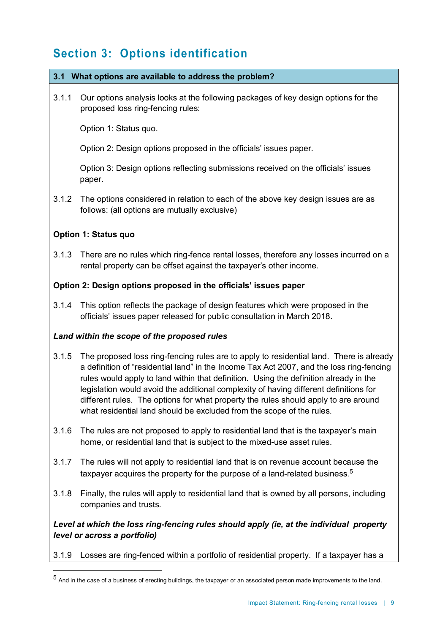# **Section 3: Options identification**

### **3.1 What options are available to address the problem?**

3.1.1 Our options analysis looks at the following packages of key design options for the proposed loss ring-fencing rules:

Option 1: Status quo.

Option 2: Design options proposed in the officials' issues paper.

Option 3: Design options reflecting submissions received on the officials' issues paper.

3.1.2 The options considered in relation to each of the above key design issues are as follows: (all options are mutually exclusive)

### **Option 1: Status quo**

3.1.3 There are no rules which ring-fence rental losses, therefore any losses incurred on a rental property can be offset against the taxpayer's other income.

### **Option 2: Design options proposed in the officials' issues paper**

3.1.4 This option reflects the package of design features which were proposed in the officials' issues paper released for public consultation in March 2018.

### *Land within the scope of the proposed rules*

- 3.1.5 The proposed loss ring-fencing rules are to apply to residential land. There is already a definition of "residential land" in the Income Tax Act 2007, and the loss ring-fencing rules would apply to land within that definition. Using the definition already in the legislation would avoid the additional complexity of having different definitions for different rules. The options for what property the rules should apply to are around what residential land should be excluded from the scope of the rules.
- 3.1.6 The rules are not proposed to apply to residential land that is the taxpayer's main home, or residential land that is subject to the mixed-use asset rules.
- 3.1.7 The rules will not apply to residential land that is on revenue account because the taxpayer acquires the property for the purpose of a land-related business. $^{\rm 5}$  $^{\rm 5}$  $^{\rm 5}$
- 3.1.8 Finally, the rules will apply to residential land that is owned by all persons, including companies and trusts.

*Level at which the loss ring-fencing rules should apply (ie, at the individual property level or across a portfolio)*

3.1.9 Losses are ring-fenced within a portfolio of residential property. If a taxpayer has a

<span id="page-8-0"></span> $5$  And in the case of a business of erecting buildings, the taxpayer or an associated person made improvements to the land.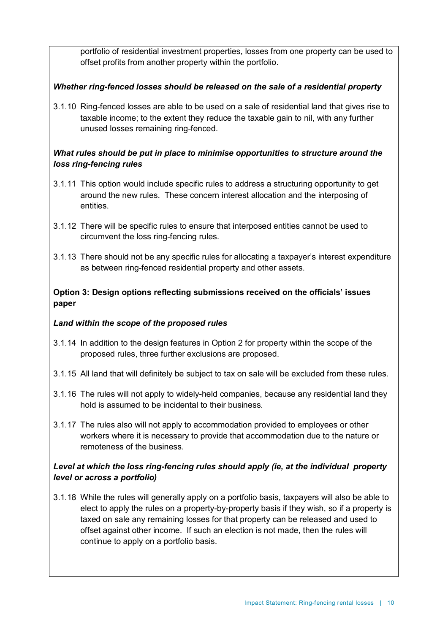portfolio of residential investment properties, losses from one property can be used to offset profits from another property within the portfolio.

### *Whether ring-fenced losses should be released on the sale of a residential property*

3.1.10 Ring-fenced losses are able to be used on a sale of residential land that gives rise to taxable income; to the extent they reduce the taxable gain to nil, with any further unused losses remaining ring-fenced.

### *What rules should be put in place to minimise opportunities to structure around the loss ring-fencing rules*

- 3.1.11 This option would include specific rules to address a structuring opportunity to get around the new rules. These concern interest allocation and the interposing of entities.
- 3.1.12 There will be specific rules to ensure that interposed entities cannot be used to circumvent the loss ring-fencing rules.
- 3.1.13 There should not be any specific rules for allocating a taxpayer's interest expenditure as between ring-fenced residential property and other assets.

### **Option 3: Design options reflecting submissions received on the officials' issues paper**

### *Land within the scope of the proposed rules*

- 3.1.14 In addition to the design features in Option 2 for property within the scope of the proposed rules, three further exclusions are proposed.
- 3.1.15 All land that will definitely be subject to tax on sale will be excluded from these rules.
- 3.1.16 The rules will not apply to widely-held companies, because any residential land they hold is assumed to be incidental to their business.
- 3.1.17 The rules also will not apply to accommodation provided to employees or other workers where it is necessary to provide that accommodation due to the nature or remoteness of the business.

### *Level at which the loss ring-fencing rules should apply (ie, at the individual property level or across a portfolio)*

3.1.18 While the rules will generally apply on a portfolio basis, taxpayers will also be able to elect to apply the rules on a property-by-property basis if they wish, so if a property is taxed on sale any remaining losses for that property can be released and used to offset against other income. If such an election is not made, then the rules will continue to apply on a portfolio basis.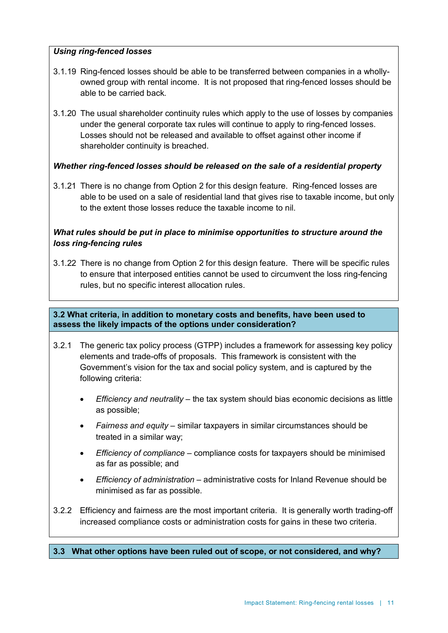### *Using ring-fenced losses*

- 3.1.19 Ring-fenced losses should be able to be transferred between companies in a whollyowned group with rental income. It is not proposed that ring-fenced losses should be able to be carried back.
- 3.1.20 The usual shareholder continuity rules which apply to the use of losses by companies under the general corporate tax rules will continue to apply to ring-fenced losses. Losses should not be released and available to offset against other income if shareholder continuity is breached.

### *Whether ring-fenced losses should be released on the sale of a residential property*

3.1.21 There is no change from Option 2 for this design feature. Ring-fenced losses are able to be used on a sale of residential land that gives rise to taxable income, but only to the extent those losses reduce the taxable income to nil.

### *What rules should be put in place to minimise opportunities to structure around the loss ring-fencing rules*

3.1.22 There is no change from Option 2 for this design feature. There will be specific rules to ensure that interposed entities cannot be used to circumvent the loss ring-fencing rules, but no specific interest allocation rules.

### **3.2 What criteria, in addition to monetary costs and benefits, have been used to assess the likely impacts of the options under consideration?**

- 3.2.1 The generic tax policy process (GTPP) includes a framework for assessing key policy elements and trade-offs of proposals. This framework is consistent with the Government's vision for the tax and social policy system, and is captured by the following criteria:
	- *Efficiency and neutrality* the tax system should bias economic decisions as little as possible;
	- *Fairness and equity* similar taxpayers in similar circumstances should be treated in a similar way;
	- *Efficiency of compliance* compliance costs for taxpayers should be minimised as far as possible; and
	- *Efficiency of administration* administrative costs for Inland Revenue should be minimised as far as possible.
- 3.2.2 Efficiency and fairness are the most important criteria. It is generally worth trading-off increased compliance costs or administration costs for gains in these two criteria.

#### **3.3 What other options have been ruled out of scope, or not considered, and why?**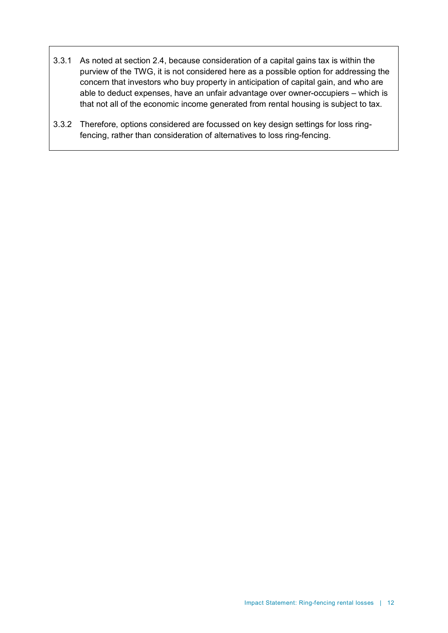- 3.3.1 As noted at section 2.4, because consideration of a capital gains tax is within the purview of the TWG, it is not considered here as a possible option for addressing the concern that investors who buy property in anticipation of capital gain, and who are able to deduct expenses, have an unfair advantage over owner-occupiers – which is that not all of the economic income generated from rental housing is subject to tax.
- 3.3.2 Therefore, options considered are focussed on key design settings for loss ringfencing, rather than consideration of alternatives to loss ring-fencing.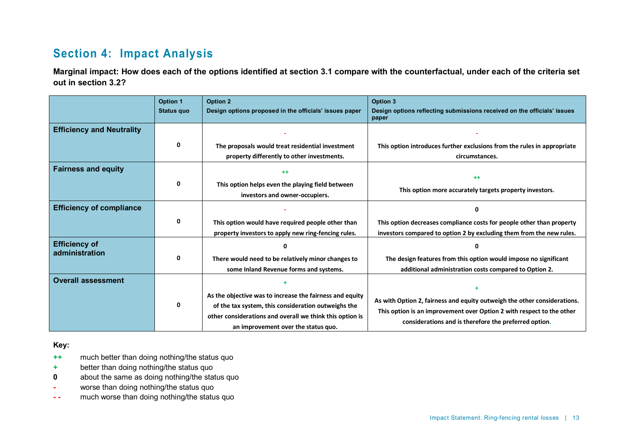### **Section 4: Impact Analysis**

**Marginal impact: How does each of the options identified at section 3.1 compare with the counterfactual, under each of the criteria set out in section 3.2?**

|                                        | <b>Option 1</b><br>Status quo | <b>Option 2</b><br>Design options proposed in the officials' issues paper                                                                                                                                          | Option 3<br>Design options reflecting submissions received on the officials' issues<br>paper                                                                                                               |
|----------------------------------------|-------------------------------|--------------------------------------------------------------------------------------------------------------------------------------------------------------------------------------------------------------------|------------------------------------------------------------------------------------------------------------------------------------------------------------------------------------------------------------|
| <b>Efficiency and Neutrality</b>       |                               |                                                                                                                                                                                                                    |                                                                                                                                                                                                            |
|                                        | 0                             | The proposals would treat residential investment<br>property differently to other investments.                                                                                                                     | This option introduces further exclusions from the rules in appropriate<br>circumstances.                                                                                                                  |
| <b>Fairness and equity</b>             |                               | $++$                                                                                                                                                                                                               | $++$                                                                                                                                                                                                       |
|                                        | 0                             | This option helps even the playing field between<br>investors and owner-occupiers.                                                                                                                                 | This option more accurately targets property investors.                                                                                                                                                    |
| <b>Efficiency of compliance</b>        |                               |                                                                                                                                                                                                                    | ŋ                                                                                                                                                                                                          |
|                                        | 0                             | This option would have required people other than<br>property investors to apply new ring-fencing rules.                                                                                                           | This option decreases compliance costs for people other than property<br>investors compared to option 2 by excluding them from the new rules.                                                              |
| <b>Efficiency of</b><br>administration | 0                             | There would need to be relatively minor changes to<br>some Inland Revenue forms and systems.                                                                                                                       | Ω<br>The design features from this option would impose no significant<br>additional administration costs compared to Option 2.                                                                             |
| <b>Overall assessment</b>              | 0                             | As the objective was to increase the fairness and equity<br>of the tax system, this consideration outweighs the<br>other considerations and overall we think this option is<br>an improvement over the status quo. | As with Option 2, fairness and equity outweigh the other considerations.<br>This option is an improvement over Option 2 with respect to the other<br>considerations and is therefore the preferred option. |

**Key:**

- **++** much better than doing nothing/the status quo
- **+** better than doing nothing/the status quo
- **0** about the same as doing nothing/the status quo
- **-** worse than doing nothing/the status quo
- **- -** much worse than doing nothing/the status quo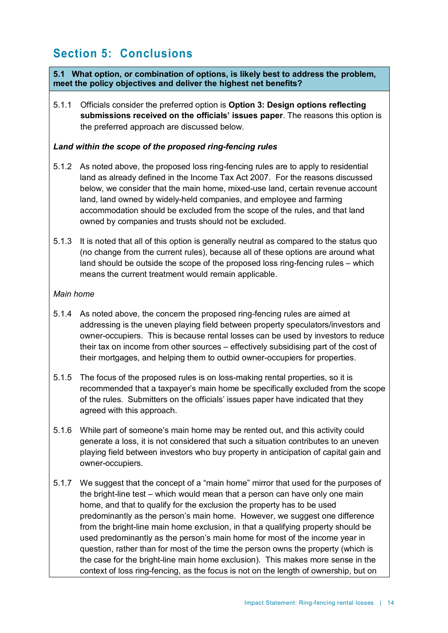# **Section 5: Conclusions**

**5.1 What option, or combination of options, is likely best to address the problem, meet the policy objectives and deliver the highest net benefits?**

5.1.1 Officials consider the preferred option is **Option 3: Design options reflecting submissions received on the officials' issues paper**. The reasons this option is the preferred approach are discussed below.

### *Land within the scope of the proposed ring-fencing rules*

- 5.1.2 As noted above, the proposed loss ring-fencing rules are to apply to residential land as already defined in the Income Tax Act 2007. For the reasons discussed below, we consider that the main home, mixed-use land, certain revenue account land, land owned by widely-held companies, and employee and farming accommodation should be excluded from the scope of the rules, and that land owned by companies and trusts should not be excluded.
- 5.1.3 It is noted that all of this option is generally neutral as compared to the status quo (no change from the current rules), because all of these options are around what land should be outside the scope of the proposed loss ring-fencing rules – which means the current treatment would remain applicable.

### *Main home*

- 5.1.4 As noted above, the concern the proposed ring-fencing rules are aimed at addressing is the uneven playing field between property speculators/investors and owner-occupiers. This is because rental losses can be used by investors to reduce their tax on income from other sources – effectively subsidising part of the cost of their mortgages, and helping them to outbid owner-occupiers for properties.
- 5.1.5 The focus of the proposed rules is on loss-making rental properties, so it is recommended that a taxpayer's main home be specifically excluded from the scope of the rules. Submitters on the officials' issues paper have indicated that they agreed with this approach.
- 5.1.6 While part of someone's main home may be rented out, and this activity could generate a loss, it is not considered that such a situation contributes to an uneven playing field between investors who buy property in anticipation of capital gain and owner-occupiers.
- 5.1.7 We suggest that the concept of a "main home" mirror that used for the purposes of the bright-line test – which would mean that a person can have only one main home, and that to qualify for the exclusion the property has to be used predominantly as the person's main home. However, we suggest one difference from the bright-line main home exclusion, in that a qualifying property should be used predominantly as the person's main home for most of the income year in question, rather than for most of the time the person owns the property (which is the case for the bright-line main home exclusion). This makes more sense in the context of loss ring-fencing, as the focus is not on the length of ownership, but on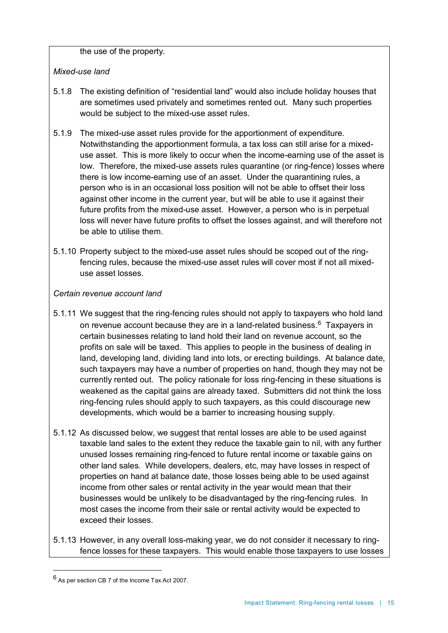the use of the property.

### *Mixed-use land*

- 5.1.8 The existing definition of "residential land" would also include holiday houses that are sometimes used privately and sometimes rented out. Many such properties would be subject to the mixed-use asset rules.
- 5.1.9 The mixed-use asset rules provide for the apportionment of expenditure. Notwithstanding the apportionment formula, a tax loss can still arise for a mixeduse asset. This is more likely to occur when the income-earning use of the asset is low. Therefore, the mixed-use assets rules quarantine (or ring-fence) losses where there is low income-earning use of an asset. Under the quarantining rules, a person who is in an occasional loss position will not be able to offset their loss against other income in the current year, but will be able to use it against their future profits from the mixed-use asset. However, a person who is in perpetual loss will never have future profits to offset the losses against, and will therefore not be able to utilise them.
- 5.1.10 Property subject to the mixed-use asset rules should be scoped out of the ringfencing rules, because the mixed-use asset rules will cover most if not all mixeduse asset losses.

### *Certain revenue account land*

- 5.1.11 We suggest that the ring-fencing rules should not apply to taxpayers who hold land on revenue account because they are in a land-related business. $6$  Taxpayers in certain businesses relating to land hold their land on revenue account, so the profits on sale will be taxed. This applies to people in the business of dealing in land, developing land, dividing land into lots, or erecting buildings. At balance date, such taxpayers may have a number of properties on hand, though they may not be currently rented out. The policy rationale for loss ring-fencing in these situations is weakened as the capital gains are already taxed. Submitters did not think the loss ring-fencing rules should apply to such taxpayers, as this could discourage new developments, which would be a barrier to increasing housing supply.
- 5.1.12 As discussed below, we suggest that rental losses are able to be used against taxable land sales to the extent they reduce the taxable gain to nil, with any further unused losses remaining ring-fenced to future rental income or taxable gains on other land sales. While developers, dealers, etc, may have losses in respect of properties on hand at balance date, those losses being able to be used against income from other sales or rental activity in the year would mean that their businesses would be unlikely to be disadvantaged by the ring-fencing rules. In most cases the income from their sale or rental activity would be expected to exceed their losses.
- 5.1.13 However, in any overall loss-making year, we do not consider it necessary to ringfence losses for these taxpayers. This would enable those taxpayers to use losses

<span id="page-14-0"></span> $^6$  As per section CB 7 of the Income Tax Act 2007.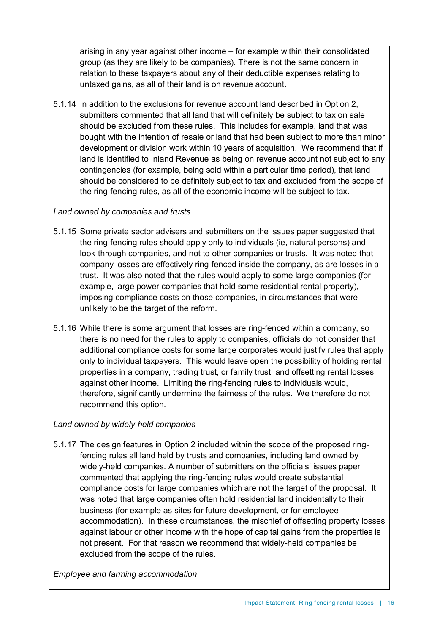arising in any year against other income – for example within their consolidated group (as they are likely to be companies). There is not the same concern in relation to these taxpayers about any of their deductible expenses relating to untaxed gains, as all of their land is on revenue account.

5.1.14 In addition to the exclusions for revenue account land described in Option 2, submitters commented that all land that will definitely be subject to tax on sale should be excluded from these rules. This includes for example, land that was bought with the intention of resale or land that had been subject to more than minor development or division work within 10 years of acquisition. We recommend that if land is identified to Inland Revenue as being on revenue account not subject to any contingencies (for example, being sold within a particular time period), that land should be considered to be definitely subject to tax and excluded from the scope of the ring-fencing rules, as all of the economic income will be subject to tax.

### *Land owned by companies and trusts*

- 5.1.15 Some private sector advisers and submitters on the issues paper suggested that the ring-fencing rules should apply only to individuals (ie, natural persons) and look-through companies, and not to other companies or trusts. It was noted that company losses are effectively ring-fenced inside the company, as are losses in a trust. It was also noted that the rules would apply to some large companies (for example, large power companies that hold some residential rental property), imposing compliance costs on those companies, in circumstances that were unlikely to be the target of the reform.
- 5.1.16 While there is some argument that losses are ring-fenced within a company, so there is no need for the rules to apply to companies, officials do not consider that additional compliance costs for some large corporates would justify rules that apply only to individual taxpayers. This would leave open the possibility of holding rental properties in a company, trading trust, or family trust, and offsetting rental losses against other income. Limiting the ring-fencing rules to individuals would, therefore, significantly undermine the fairness of the rules. We therefore do not recommend this option.

### *Land owned by widely-held companies*

5.1.17 The design features in Option 2 included within the scope of the proposed ringfencing rules all land held by trusts and companies, including land owned by widely-held companies. A number of submitters on the officials' issues paper commented that applying the ring-fencing rules would create substantial compliance costs for large companies which are not the target of the proposal. It was noted that large companies often hold residential land incidentally to their business (for example as sites for future development, or for employee accommodation). In these circumstances, the mischief of offsetting property losses against labour or other income with the hope of capital gains from the properties is not present. For that reason we recommend that widely-held companies be excluded from the scope of the rules.

*Employee and farming accommodation*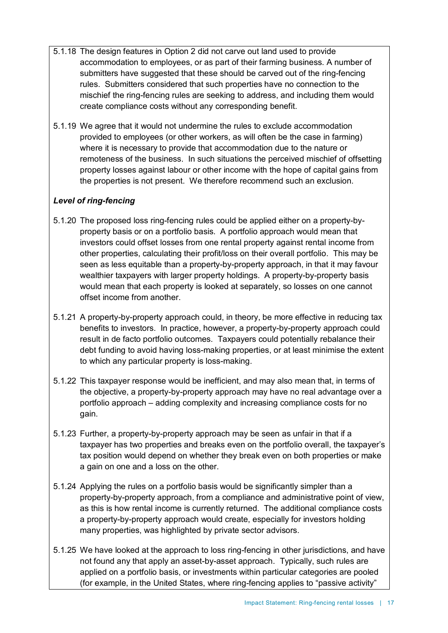- 5.1.18 The design features in Option 2 did not carve out land used to provide accommodation to employees, or as part of their farming business. A number of submitters have suggested that these should be carved out of the ring-fencing rules. Submitters considered that such properties have no connection to the mischief the ring-fencing rules are seeking to address, and including them would create compliance costs without any corresponding benefit.
- 5.1.19 We agree that it would not undermine the rules to exclude accommodation provided to employees (or other workers, as will often be the case in farming) where it is necessary to provide that accommodation due to the nature or remoteness of the business. In such situations the perceived mischief of offsetting property losses against labour or other income with the hope of capital gains from the properties is not present. We therefore recommend such an exclusion.

### *Level of ring-fencing*

- 5.1.20 The proposed loss ring-fencing rules could be applied either on a property-byproperty basis or on a portfolio basis. A portfolio approach would mean that investors could offset losses from one rental property against rental income from other properties, calculating their profit/loss on their overall portfolio. This may be seen as less equitable than a property-by-property approach, in that it may favour wealthier taxpayers with larger property holdings. A property-by-property basis would mean that each property is looked at separately, so losses on one cannot offset income from another.
- 5.1.21 A property-by-property approach could, in theory, be more effective in reducing tax benefits to investors. In practice, however, a property-by-property approach could result in de facto portfolio outcomes. Taxpayers could potentially rebalance their debt funding to avoid having loss-making properties, or at least minimise the extent to which any particular property is loss-making.
- 5.1.22 This taxpayer response would be inefficient, and may also mean that, in terms of the objective, a property-by-property approach may have no real advantage over a portfolio approach – adding complexity and increasing compliance costs for no gain.
- 5.1.23 Further, a property-by-property approach may be seen as unfair in that if a taxpayer has two properties and breaks even on the portfolio overall, the taxpayer's tax position would depend on whether they break even on both properties or make a gain on one and a loss on the other.
- 5.1.24 Applying the rules on a portfolio basis would be significantly simpler than a property-by-property approach, from a compliance and administrative point of view, as this is how rental income is currently returned. The additional compliance costs a property-by-property approach would create, especially for investors holding many properties, was highlighted by private sector advisors.
- 5.1.25 We have looked at the approach to loss ring-fencing in other jurisdictions, and have not found any that apply an asset-by-asset approach. Typically, such rules are applied on a portfolio basis, or investments within particular categories are pooled (for example, in the United States, where ring-fencing applies to "passive activity"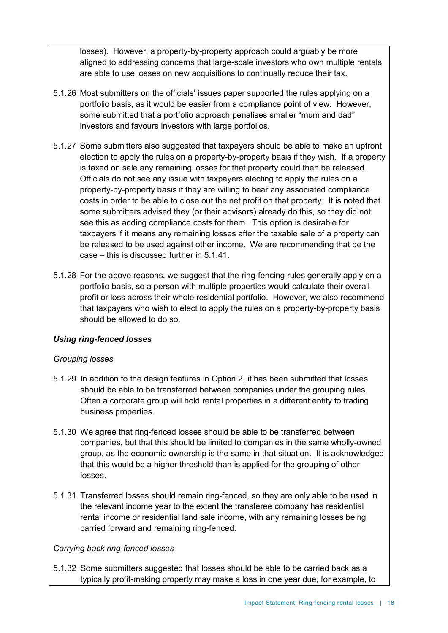losses). However, a property-by-property approach could arguably be more aligned to addressing concerns that large-scale investors who own multiple rentals are able to use losses on new acquisitions to continually reduce their tax.

- 5.1.26 Most submitters on the officials' issues paper supported the rules applying on a portfolio basis, as it would be easier from a compliance point of view. However, some submitted that a portfolio approach penalises smaller "mum and dad" investors and favours investors with large portfolios.
- <span id="page-17-0"></span>5.1.27 Some submitters also suggested that taxpayers should be able to make an upfront election to apply the rules on a property-by-property basis if they wish. If a property is taxed on sale any remaining losses for that property could then be released. Officials do not see any issue with taxpayers electing to apply the rules on a property-by-property basis if they are willing to bear any associated compliance costs in order to be able to close out the net profit on that property. It is noted that some submitters advised they (or their advisors) already do this, so they did not see this as adding compliance costs for them. This option is desirable for taxpayers if it means any remaining losses after the taxable sale of a property can be released to be used against other income. We are recommending that be the case – this is discussed further in 5.1.41.
- 5.1.28 For the above reasons, we suggest that the ring-fencing rules generally apply on a portfolio basis, so a person with multiple properties would calculate their overall profit or loss across their whole residential portfolio. However, we also recommend that taxpayers who wish to elect to apply the rules on a property-by-property basis should be allowed to do so.

### *Using ring-fenced losses*

### *Grouping losses*

- 5.1.29 In addition to the design features in Option 2, it has been submitted that losses should be able to be transferred between companies under the grouping rules. Often a corporate group will hold rental properties in a different entity to trading business properties.
- 5.1.30 We agree that ring-fenced losses should be able to be transferred between companies, but that this should be limited to companies in the same wholly-owned group, as the economic ownership is the same in that situation. It is acknowledged that this would be a higher threshold than is applied for the grouping of other losses.
- 5.1.31 Transferred losses should remain ring-fenced, so they are only able to be used in the relevant income year to the extent the transferee company has residential rental income or residential land sale income, with any remaining losses being carried forward and remaining ring-fenced.

### *Carrying back ring-fenced losses*

5.1.32 Some submitters suggested that losses should be able to be carried back as a typically profit-making property may make a loss in one year due, for example, to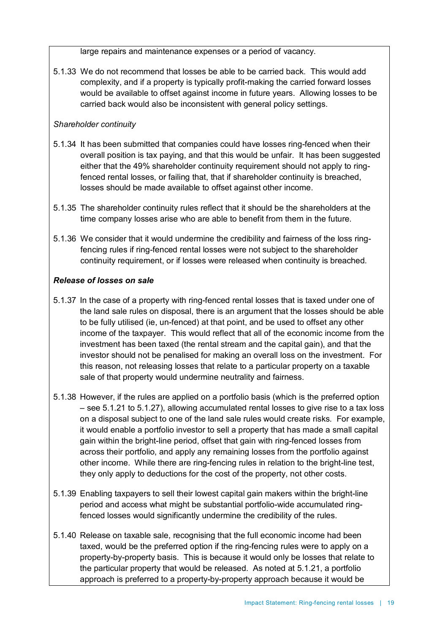large repairs and maintenance expenses or a period of vacancy.

5.1.33 We do not recommend that losses be able to be carried back. This would add complexity, and if a property is typically profit-making the carried forward losses would be available to offset against income in future years. Allowing losses to be carried back would also be inconsistent with general policy settings.

### *Shareholder continuity*

- 5.1.34 It has been submitted that companies could have losses ring-fenced when their overall position is tax paying, and that this would be unfair. It has been suggested either that the 49% shareholder continuity requirement should not apply to ringfenced rental losses, or failing that, that if shareholder continuity is breached, losses should be made available to offset against other income.
- 5.1.35 The shareholder continuity rules reflect that it should be the shareholders at the time company losses arise who are able to benefit from them in the future.
- 5.1.36 We consider that it would undermine the credibility and fairness of the loss ringfencing rules if ring-fenced rental losses were not subject to the shareholder continuity requirement, or if losses were released when continuity is breached.

### *Release of losses on sale*

- 5.1.37 In the case of a property with ring-fenced rental losses that is taxed under one of the land sale rules on disposal, there is an argument that the losses should be able to be fully utilised (ie, un-fenced) at that point, and be used to offset any other income of the taxpayer. This would reflect that all of the economic income from the investment has been taxed (the rental stream and the capital gain), and that the investor should not be penalised for making an overall loss on the investment. For this reason, not releasing losses that relate to a particular property on a taxable sale of that property would undermine neutrality and fairness.
- 5.1.38 However, if the rules are applied on a portfolio basis (which is the preferred option – see 5.1.21 to 5.1.27), allowing accumulated rental losses to give rise to a tax loss on a disposal subject to one of the land sale rules would create risks. For example, it would enable a portfolio investor to sell a property that has made a small capital gain within the bright-line period, offset that gain with ring-fenced losses from across their portfolio, and apply any remaining losses from the portfolio against other income. While there are ring-fencing rules in relation to the bright-line test, they only apply to deductions for the cost of the property, not other costs.
- 5.1.39 Enabling taxpayers to sell their lowest capital gain makers within the bright-line period and access what might be substantial portfolio-wide accumulated ringfenced losses would significantly undermine the credibility of the rules.
- 5.1.40 Release on taxable sale, recognising that the full economic income had been taxed, would be the preferred option if the ring-fencing rules were to apply on a property-by-property basis. This is because it would only be losses that relate to the particular property that would be released. As noted at 5.1.21, a portfolio approach is preferred to a property-by-property approach because it would be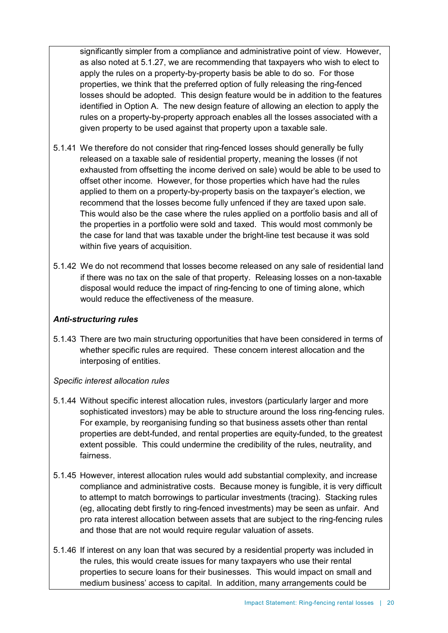significantly simpler from a compliance and administrative point of view. However, as also noted at [5.1.27,](#page-17-0) we are recommending that taxpayers who wish to elect to apply the rules on a property-by-property basis be able to do so. For those properties, we think that the preferred option of fully releasing the ring-fenced losses should be adopted. This design feature would be in addition to the features identified in Option A. The new design feature of allowing an election to apply the rules on a property-by-property approach enables all the losses associated with a given property to be used against that property upon a taxable sale.

- 5.1.41 We therefore do not consider that ring-fenced losses should generally be fully released on a taxable sale of residential property, meaning the losses (if not exhausted from offsetting the income derived on sale) would be able to be used to offset other income. However, for those properties which have had the rules applied to them on a property-by-property basis on the taxpayer's election, we recommend that the losses become fully unfenced if they are taxed upon sale. This would also be the case where the rules applied on a portfolio basis and all of the properties in a portfolio were sold and taxed. This would most commonly be the case for land that was taxable under the bright-line test because it was sold within five years of acquisition.
- 5.1.42 We do not recommend that losses become released on any sale of residential land if there was no tax on the sale of that property. Releasing losses on a non-taxable disposal would reduce the impact of ring-fencing to one of timing alone, which would reduce the effectiveness of the measure.

### *Anti-structuring rules*

5.1.43 There are two main structuring opportunities that have been considered in terms of whether specific rules are required. These concern interest allocation and the interposing of entities.

### *Specific interest allocation rules*

- 5.1.44 Without specific interest allocation rules, investors (particularly larger and more sophisticated investors) may be able to structure around the loss ring-fencing rules. For example, by reorganising funding so that business assets other than rental properties are debt-funded, and rental properties are equity-funded, to the greatest extent possible. This could undermine the credibility of the rules, neutrality, and fairness.
- 5.1.45 However, interest allocation rules would add substantial complexity, and increase compliance and administrative costs. Because money is fungible, it is very difficult to attempt to match borrowings to particular investments (tracing). Stacking rules (eg, allocating debt firstly to ring-fenced investments) may be seen as unfair. And pro rata interest allocation between assets that are subject to the ring-fencing rules and those that are not would require regular valuation of assets.
- 5.1.46 If interest on any loan that was secured by a residential property was included in the rules, this would create issues for many taxpayers who use their rental properties to secure loans for their businesses. This would impact on small and medium business' access to capital. In addition, many arrangements could be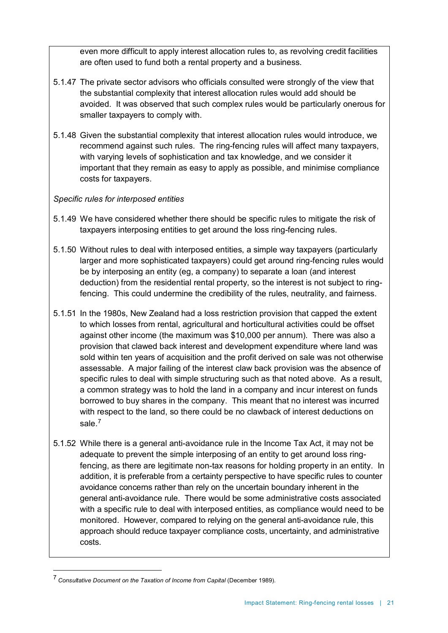even more difficult to apply interest allocation rules to, as revolving credit facilities are often used to fund both a rental property and a business.

- 5.1.47 The private sector advisors who officials consulted were strongly of the view that the substantial complexity that interest allocation rules would add should be avoided. It was observed that such complex rules would be particularly onerous for smaller taxpayers to comply with.
- 5.1.48 Given the substantial complexity that interest allocation rules would introduce, we recommend against such rules. The ring-fencing rules will affect many taxpayers, with varying levels of sophistication and tax knowledge, and we consider it important that they remain as easy to apply as possible, and minimise compliance costs for taxpayers.

### *Specific rules for interposed entities*

- 5.1.49 We have considered whether there should be specific rules to mitigate the risk of taxpayers interposing entities to get around the loss ring-fencing rules.
- 5.1.50 Without rules to deal with interposed entities, a simple way taxpayers (particularly larger and more sophisticated taxpayers) could get around ring-fencing rules would be by interposing an entity (eg, a company) to separate a loan (and interest deduction) from the residential rental property, so the interest is not subject to ringfencing. This could undermine the credibility of the rules, neutrality, and fairness.
- 5.1.51 In the 1980s, New Zealand had a loss restriction provision that capped the extent to which losses from rental, agricultural and horticultural activities could be offset against other income (the maximum was \$10,000 per annum). There was also a provision that clawed back interest and development expenditure where land was sold within ten years of acquisition and the profit derived on sale was not otherwise assessable. A major failing of the interest claw back provision was the absence of specific rules to deal with simple structuring such as that noted above. As a result, a common strategy was to hold the land in a company and incur interest on funds borrowed to buy shares in the company. This meant that no interest was incurred with respect to the land, so there could be no clawback of interest deductions on sale.<sup>[7](#page-20-0)</sup>
- 5.1.52 While there is a general anti-avoidance rule in the Income Tax Act, it may not be adequate to prevent the simple interposing of an entity to get around loss ringfencing, as there are legitimate non-tax reasons for holding property in an entity. In addition, it is preferable from a certainty perspective to have specific rules to counter avoidance concerns rather than rely on the uncertain boundary inherent in the general anti-avoidance rule. There would be some administrative costs associated with a specific rule to deal with interposed entities, as compliance would need to be monitored. However, compared to relying on the general anti-avoidance rule, this approach should reduce taxpayer compliance costs, uncertainty, and administrative costs.

<span id="page-20-0"></span> <sup>7</sup> *Consultative Document on the Taxation of Income from Capital* (December 1989).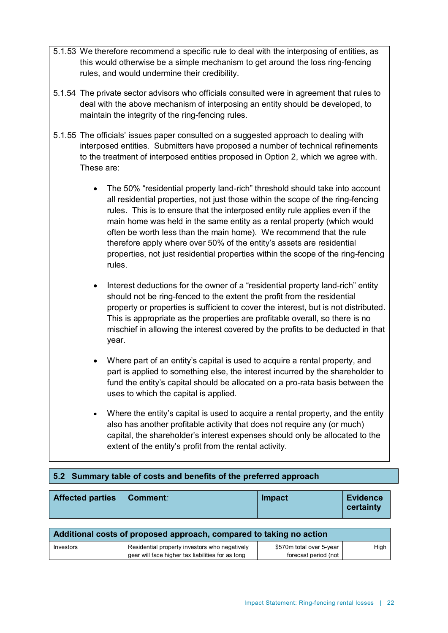- 5.1.53 We therefore recommend a specific rule to deal with the interposing of entities, as this would otherwise be a simple mechanism to get around the loss ring-fencing rules, and would undermine their credibility.
- 5.1.54 The private sector advisors who officials consulted were in agreement that rules to deal with the above mechanism of interposing an entity should be developed, to maintain the integrity of the ring-fencing rules.
- 5.1.55 The officials' issues paper consulted on a suggested approach to dealing with interposed entities. Submitters have proposed a number of technical refinements to the treatment of interposed entities proposed in Option 2, which we agree with. These are:
	- The 50% "residential property land-rich" threshold should take into account all residential properties, not just those within the scope of the ring-fencing rules. This is to ensure that the interposed entity rule applies even if the main home was held in the same entity as a rental property (which would often be worth less than the main home). We recommend that the rule therefore apply where over 50% of the entity's assets are residential properties, not just residential properties within the scope of the ring-fencing rules.
	- Interest deductions for the owner of a "residential property land-rich" entity should not be ring-fenced to the extent the profit from the residential property or properties is sufficient to cover the interest, but is not distributed. This is appropriate as the properties are profitable overall, so there is no mischief in allowing the interest covered by the profits to be deducted in that year.
	- Where part of an entity's capital is used to acquire a rental property, and part is applied to something else, the interest incurred by the shareholder to fund the entity's capital should be allocated on a pro-rata basis between the uses to which the capital is applied.
	- Where the entity's capital is used to acquire a rental property, and the entity also has another profitable activity that does not require any (or much) capital, the shareholder's interest expenses should only be allocated to the extent of the entity's profit from the rental activity.

### **5.2 Summary table of costs and benefits of the preferred approach**

| <b>Affected parties</b> | Comment: | Impact | <b>Evidence</b><br>certainty |
|-------------------------|----------|--------|------------------------------|
|-------------------------|----------|--------|------------------------------|

| Additional costs of proposed approach, compared to taking no action |                                                   |                          |      |
|---------------------------------------------------------------------|---------------------------------------------------|--------------------------|------|
| Investors                                                           | Residential property investors who negatively     | \$570m total over 5-year | High |
|                                                                     | gear will face higher tax liabilities for as long | forecast period (not     |      |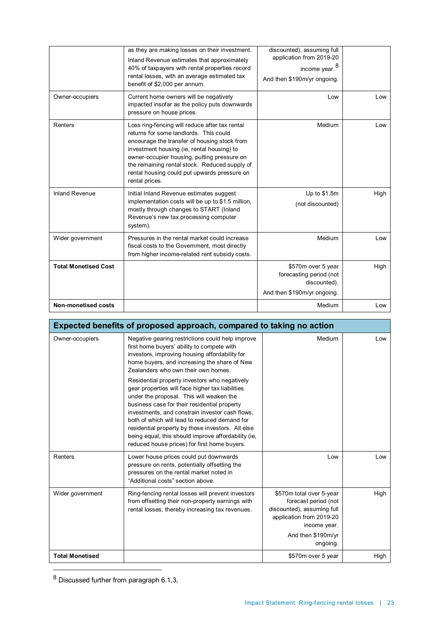|                             | as they are making losses on their investment.<br>Inland Revenue estimates that approximately<br>40% of taxpayers with rental properties record<br>rental losses, with an average estimated tax<br>benefit of \$2,000 per annum.                                                                                                                         | discounted), assuming full<br>application from 2019-20<br>income year. <sup>8</sup><br>And then \$190m/yr ongoing. |      |
|-----------------------------|----------------------------------------------------------------------------------------------------------------------------------------------------------------------------------------------------------------------------------------------------------------------------------------------------------------------------------------------------------|--------------------------------------------------------------------------------------------------------------------|------|
| Owner-occupiers             | Current home owners will be negatively<br>impacted insofar as the policy puts downwards<br>pressure on house prices.                                                                                                                                                                                                                                     | Low                                                                                                                | Low  |
| Renters                     | Loss ring-fencing will reduce after tax rental<br>returns for some landlords. This could<br>encourage the transfer of housing stock from<br>investment housing (ie, rental housing) to<br>owner-occupier housing, putting pressure on<br>the remaining rental stock. Reduced supply of<br>rental housing could put upwards pressure on<br>rental prices. | Medium                                                                                                             | Low  |
| <b>Inland Revenue</b>       | Initial Inland Revenue estimates suggest<br>implementation costs will be up to \$1.5 million,<br>mostly through changes to START (Inland<br>Revenue's new tax processing computer<br>system).                                                                                                                                                            | Up to \$1.5m<br>(not discounted)                                                                                   | High |
| Wider government            | Pressures in the rental market could increase<br>fiscal costs to the Government, most directly<br>from higher income-related rent subsidy costs.                                                                                                                                                                                                         | Medium                                                                                                             | Low  |
| <b>Total Monetised Cost</b> |                                                                                                                                                                                                                                                                                                                                                          | \$570m over 5 year<br>forecasting period (not<br>discounted).<br>And then \$190m/yr ongoing.                       | High |
| <b>Non-monetised costs</b>  |                                                                                                                                                                                                                                                                                                                                                          | Medium                                                                                                             | Low  |

| Expected benefits of proposed approach, compared to taking no action |                                                                                                                                                                                                                                                                                                                                                                                                                                                                                                                                                                                                                                                                                                          |                                                                                                                                                              |      |
|----------------------------------------------------------------------|----------------------------------------------------------------------------------------------------------------------------------------------------------------------------------------------------------------------------------------------------------------------------------------------------------------------------------------------------------------------------------------------------------------------------------------------------------------------------------------------------------------------------------------------------------------------------------------------------------------------------------------------------------------------------------------------------------|--------------------------------------------------------------------------------------------------------------------------------------------------------------|------|
| Owner-occupiers                                                      | Negative gearing restrictions could help improve<br>first home buyers' ability to compete with<br>investors, improving housing affordability for<br>home buyers, and increasing the share of New<br>Zealanders who own their own homes.<br>Residential property investors who negatively<br>gear properties will face higher tax liabilities<br>under the proposal. This will weaken the<br>business case for their residential property<br>investments, and constrain investor cash flows,<br>both of which will lead to reduced demand for<br>residential property by those investors. All else<br>being equal, this should improve affordability (ie,<br>reduced house prices) for first home buyers. | Medium                                                                                                                                                       | Low  |
| Renters                                                              | Lower house prices could put downwards<br>pressure on rents, potentially offsetting the<br>pressures on the rental market noted in<br>"Additional costs" section above.                                                                                                                                                                                                                                                                                                                                                                                                                                                                                                                                  | Low                                                                                                                                                          | Low  |
| Wider government                                                     | Ring-fencing rental losses will prevent investors<br>from offsetting their non-property earnings with<br>rental losses, thereby increasing tax revenues.                                                                                                                                                                                                                                                                                                                                                                                                                                                                                                                                                 | \$570m total over 5-year<br>forecast period (not<br>discounted), assuming full<br>application from 2019-20<br>income year.<br>And then \$190m/yr<br>ongoing. | High |
| <b>Total Monetised</b>                                               |                                                                                                                                                                                                                                                                                                                                                                                                                                                                                                                                                                                                                                                                                                          | \$570m over 5 year                                                                                                                                           | High |

<span id="page-22-0"></span> <sup>8</sup> Discussed further from paragraph 6.1,3,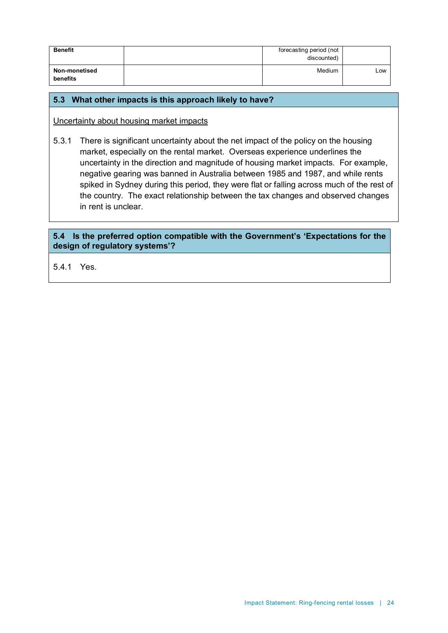| <b>Benefit</b>            | forecasting period (not<br>discounted) |     |
|---------------------------|----------------------------------------|-----|
| Non-monetised<br>benefits | Medium                                 | Low |

### **5.3 What other impacts is this approach likely to have?**

Uncertainty about housing market impacts

5.3.1 There is significant uncertainty about the net impact of the policy on the housing market, especially on the rental market. Overseas experience underlines the uncertainty in the direction and magnitude of housing market impacts. For example, negative gearing was banned in Australia between 1985 and 1987, and while rents spiked in Sydney during this period, they were flat or falling across much of the rest of the country. The exact relationship between the tax changes and observed changes in rent is unclear.

### **5.4 Is the preferred option compatible with the Government's 'Expectations for the design of regulatory systems'?**

5.4.1 Yes.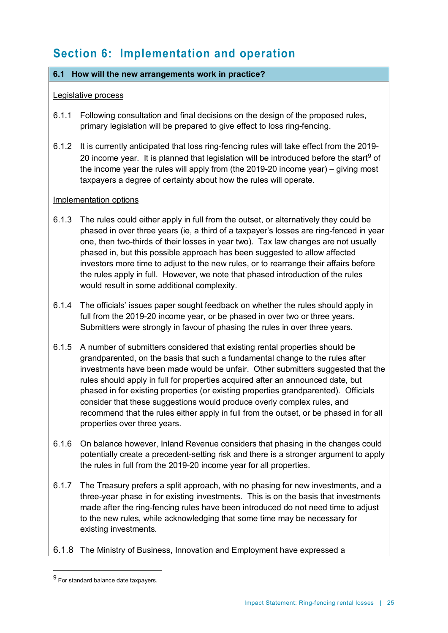# **Section 6: Implementation and operation**

### **6.1 How will the new arrangements work in practice?**

### Legislative process

- 6.1.1 Following consultation and final decisions on the design of the proposed rules, primary legislation will be prepared to give effect to loss ring-fencing.
- 6.1.2 It is currently anticipated that loss ring-fencing rules will take effect from the 2019- 20 income year. It is planned that legislation will be introduced before the start<sup>[9](#page-24-0)</sup> of the income year the rules will apply from (the 2019-20 income year) – giving most taxpayers a degree of certainty about how the rules will operate.

### Implementation options

- 6.1.3 The rules could either apply in full from the outset, or alternatively they could be phased in over three years (ie, a third of a taxpayer's losses are ring-fenced in year one, then two-thirds of their losses in year two). Tax law changes are not usually phased in, but this possible approach has been suggested to allow affected investors more time to adjust to the new rules, or to rearrange their affairs before the rules apply in full. However, we note that phased introduction of the rules would result in some additional complexity.
- 6.1.4 The officials' issues paper sought feedback on whether the rules should apply in full from the 2019-20 income year, or be phased in over two or three years. Submitters were strongly in favour of phasing the rules in over three years.
- 6.1.5 A number of submitters considered that existing rental properties should be grandparented, on the basis that such a fundamental change to the rules after investments have been made would be unfair. Other submitters suggested that the rules should apply in full for properties acquired after an announced date, but phased in for existing properties (or existing properties grandparented). Officials consider that these suggestions would produce overly complex rules, and recommend that the rules either apply in full from the outset, or be phased in for all properties over three years.
- 6.1.6 On balance however, Inland Revenue considers that phasing in the changes could potentially create a precedent-setting risk and there is a stronger argument to apply the rules in full from the 2019-20 income year for all properties.
- 6.1.7 The Treasury prefers a split approach, with no phasing for new investments, and a three-year phase in for existing investments. This is on the basis that investments made after the ring-fencing rules have been introduced do not need time to adjust to the new rules, while acknowledging that some time may be necessary for existing investments.
- 6.1.8 The Ministry of Business, Innovation and Employment have expressed a

<span id="page-24-0"></span> <sup>9</sup> For standard balance date taxpayers.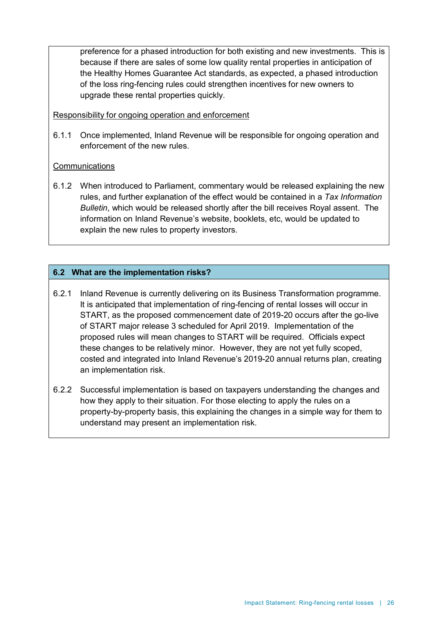preference for a phased introduction for both existing and new investments. This is because if there are sales of some low quality rental properties in anticipation of the Healthy Homes Guarantee Act standards, as expected, a phased introduction of the loss ring-fencing rules could strengthen incentives for new owners to upgrade these rental properties quickly.

### Responsibility for ongoing operation and enforcement

6.1.1 Once implemented, Inland Revenue will be responsible for ongoing operation and enforcement of the new rules.

### Communications

6.1.2 When introduced to Parliament, commentary would be released explaining the new rules, and further explanation of the effect would be contained in a *Tax Information Bulletin*, which would be released shortly after the bill receives Royal assent. The information on Inland Revenue's website, booklets, etc, would be updated to explain the new rules to property investors.

### **6.2 What are the implementation risks?**

- 6.2.1 Inland Revenue is currently delivering on its Business Transformation programme. It is anticipated that implementation of ring-fencing of rental losses will occur in START, as the proposed commencement date of 2019-20 occurs after the go-live of START major release 3 scheduled for April 2019. Implementation of the proposed rules will mean changes to START will be required. Officials expect these changes to be relatively minor. However, they are not yet fully scoped, costed and integrated into Inland Revenue's 2019-20 annual returns plan, creating an implementation risk.
- 6.2.2 Successful implementation is based on taxpayers understanding the changes and how they apply to their situation. For those electing to apply the rules on a property-by-property basis, this explaining the changes in a simple way for them to understand may present an implementation risk.